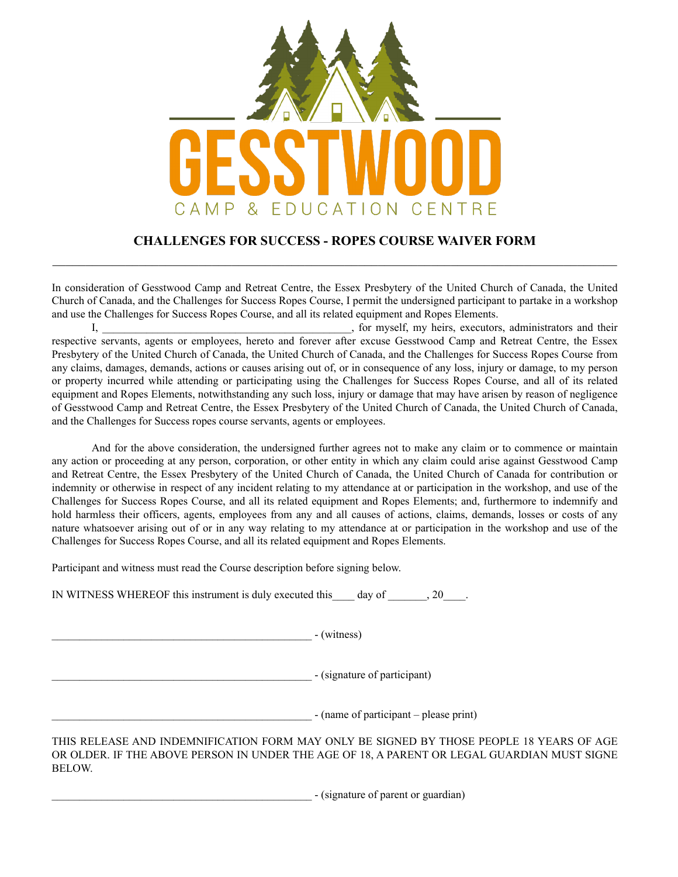

## **CHALLENGES FOR SUCCESS - ROPES COURSE WAIVER FORM**   $\_$  , and the contribution of the contribution of the contribution of the contribution of  $\mathcal{L}_\text{max}$

In consideration of Gesstwood Camp and Retreat Centre, the Essex Presbytery of the United Church of Canada, the United Church of Canada, and the Challenges for Success Ropes Course, I permit the undersigned participant to partake in a workshop and use the Challenges for Success Ropes Course, and all its related equipment and Ropes Elements.

 I, \_\_\_\_\_\_\_\_\_\_\_\_\_\_\_\_\_\_\_\_\_\_\_\_\_\_\_\_\_\_\_\_\_\_\_\_\_\_\_\_\_\_\_\_\_, for myself, my heirs, executors, administrators and their respective servants, agents or employees, hereto and forever after excuse Gesstwood Camp and Retreat Centre, the Essex Presbytery of the United Church of Canada, the United Church of Canada, and the Challenges for Success Ropes Course from any claims, damages, demands, actions or causes arising out of, or in consequence of any loss, injury or damage, to my person or property incurred while attending or participating using the Challenges for Success Ropes Course, and all of its related equipment and Ropes Elements, notwithstanding any such loss, injury or damage that may have arisen by reason of negligence of Gesstwood Camp and Retreat Centre, the Essex Presbytery of the United Church of Canada, the United Church of Canada, and the Challenges for Success ropes course servants, agents or employees.

 And for the above consideration, the undersigned further agrees not to make any claim or to commence or maintain any action or proceeding at any person, corporation, or other entity in which any claim could arise against Gesstwood Camp and Retreat Centre, the Essex Presbytery of the United Church of Canada, the United Church of Canada for contribution or indemnity or otherwise in respect of any incident relating to my attendance at or participation in the workshop, and use of the Challenges for Success Ropes Course, and all its related equipment and Ropes Elements; and, furthermore to indemnify and hold harmless their officers, agents, employees from any and all causes of actions, claims, demands, losses or costs of any nature whatsoever arising out of or in any way relating to my attendance at or participation in the workshop and use of the Challenges for Success Ropes Course, and all its related equipment and Ropes Elements.

Participant and witness must read the Course description before signing below.

IN WITNESS WHEREOF this instrument is duly executed this\_\_\_\_ day of \_\_\_\_\_\_\_, 20\_\_\_\_.

\_\_\_\_\_\_\_\_\_\_\_\_\_\_\_\_\_\_\_\_\_\_\_\_\_\_\_\_\_\_\_\_\_\_\_\_\_\_\_\_\_\_\_\_\_\_\_ - (witness)

\_\_\_\_\_\_\_\_\_\_\_\_\_\_\_\_\_\_\_\_\_\_\_\_\_\_\_\_\_\_\_\_\_\_\_\_\_\_\_\_\_\_\_\_\_\_\_ - (signature of participant)

\_\_\_\_\_\_\_\_\_\_\_\_\_\_\_\_\_\_\_\_\_\_\_\_\_\_\_\_\_\_\_\_\_\_\_\_\_\_\_\_\_\_\_\_\_\_\_ - (name of participant – please print)

THIS RELEASE AND INDEMNIFICATION FORM MAY ONLY BE SIGNED BY THOSE PEOPLE 18 YEARS OF AGE OR OLDER. IF THE ABOVE PERSON IN UNDER THE AGE OF 18, A PARENT OR LEGAL GUARDIAN MUST SIGNE BELOW.

\_\_\_\_\_\_\_\_\_\_\_\_\_\_\_\_\_\_\_\_\_\_\_\_\_\_\_\_\_\_\_\_\_\_\_\_\_\_\_\_\_\_\_\_\_\_\_ - (signature of parent or guardian)